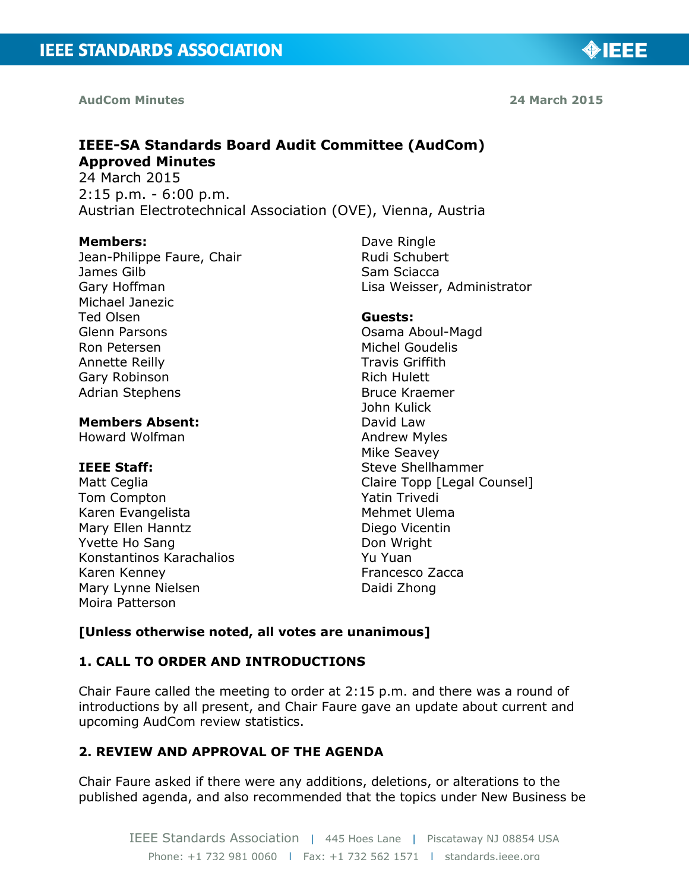**AudCom Minutes 24 March 2015**

◈IEEE

# **IEEE-SA Standards Board Audit Committee (AudCom) Approved Minutes**

24 March 2015 2:15 p.m. - 6:00 p.m. Austrian Electrotechnical Association (OVE), Vienna, Austria

#### **Members:**

Jean-Philippe Faure, Chair James Gilb Gary Hoffman Michael Janezic Ted Olsen Glenn Parsons Ron Petersen Annette Reilly Gary Robinson Adrian Stephens

## **Members Absent:**

Howard Wolfman

# **IEEE Staff:**

Matt Ceglia Tom Compton Karen Evangelista Mary Ellen Hanntz Yvette Ho Sang Konstantinos Karachalios Karen Kenney Mary Lynne Nielsen Moira Patterson

Dave Ringle Rudi Schubert Sam Sciacca Lisa Weisser, Administrator

#### **Guests:**

Osama Aboul-Magd Michel Goudelis Travis Griffith Rich Hulett Bruce Kraemer John Kulick David Law Andrew Myles Mike Seavey Steve Shellhammer Claire Topp [Legal Counsel] Yatin Trivedi Mehmet Ulema Diego Vicentin Don Wright Yu Yuan Francesco Zacca Daidi Zhong

## **[Unless otherwise noted, all votes are unanimous]**

# **1. CALL TO ORDER AND INTRODUCTIONS**

Chair Faure called the meeting to order at 2:15 p.m. and there was a round of introductions by all present, and Chair Faure gave an update about current and upcoming AudCom review statistics.

# **2. REVIEW AND APPROVAL OF THE AGENDA**

Chair Faure asked if there were any additions, deletions, or alterations to the published agenda, and also recommended that the topics under New Business be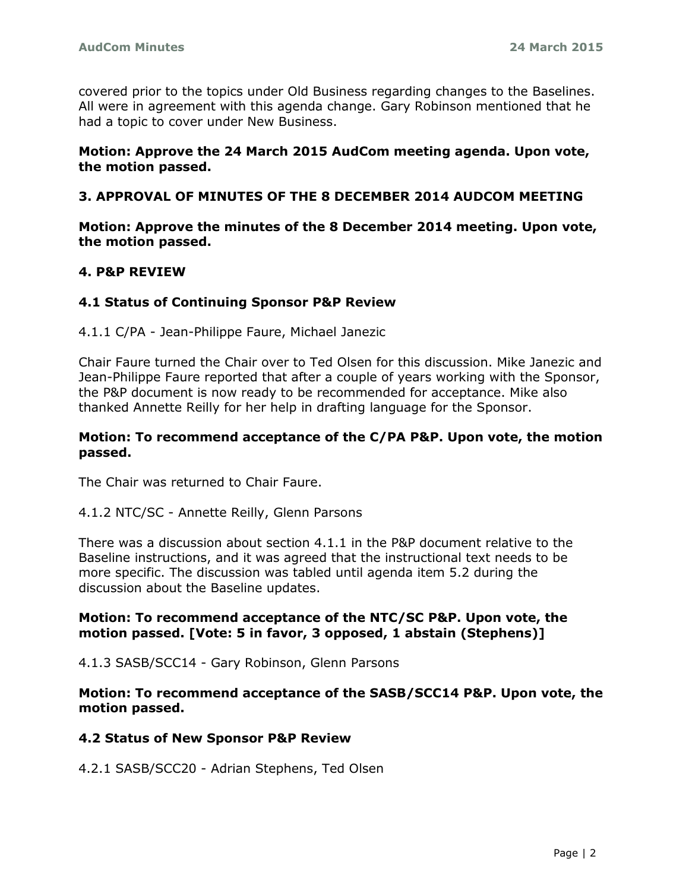covered prior to the topics under Old Business regarding changes to the Baselines. All were in agreement with this agenda change. Gary Robinson mentioned that he had a topic to cover under New Business.

## **Motion: Approve the 24 March 2015 AudCom meeting agenda. Upon vote, the motion passed.**

## **3. APPROVAL OF MINUTES OF THE 8 DECEMBER 2014 AUDCOM MEETING**

**Motion: Approve the minutes of the 8 December 2014 meeting. Upon vote, the motion passed.**

## **4. P&P REVIEW**

#### **4.1 Status of Continuing Sponsor P&P Review**

4.1.1 C/PA - Jean-Philippe Faure, Michael Janezic

Chair Faure turned the Chair over to Ted Olsen for this discussion. Mike Janezic and Jean-Philippe Faure reported that after a couple of years working with the Sponsor, the P&P document is now ready to be recommended for acceptance. Mike also thanked Annette Reilly for her help in drafting language for the Sponsor.

#### **Motion: To recommend acceptance of the C/PA P&P. Upon vote, the motion passed.**

The Chair was returned to Chair Faure.

#### 4.1.2 NTC/SC - Annette Reilly, Glenn Parsons

There was a discussion about section 4.1.1 in the P&P document relative to the Baseline instructions, and it was agreed that the instructional text needs to be more specific. The discussion was tabled until agenda item 5.2 during the discussion about the Baseline updates.

#### **Motion: To recommend acceptance of the NTC/SC P&P. Upon vote, the motion passed. [Vote: 5 in favor, 3 opposed, 1 abstain (Stephens)]**

4.1.3 SASB/SCC14 - Gary Robinson, Glenn Parsons

**Motion: To recommend acceptance of the SASB/SCC14 P&P. Upon vote, the motion passed.**

#### **4.2 Status of New Sponsor P&P Review**

4.2.1 SASB/SCC20 - Adrian Stephens, Ted Olsen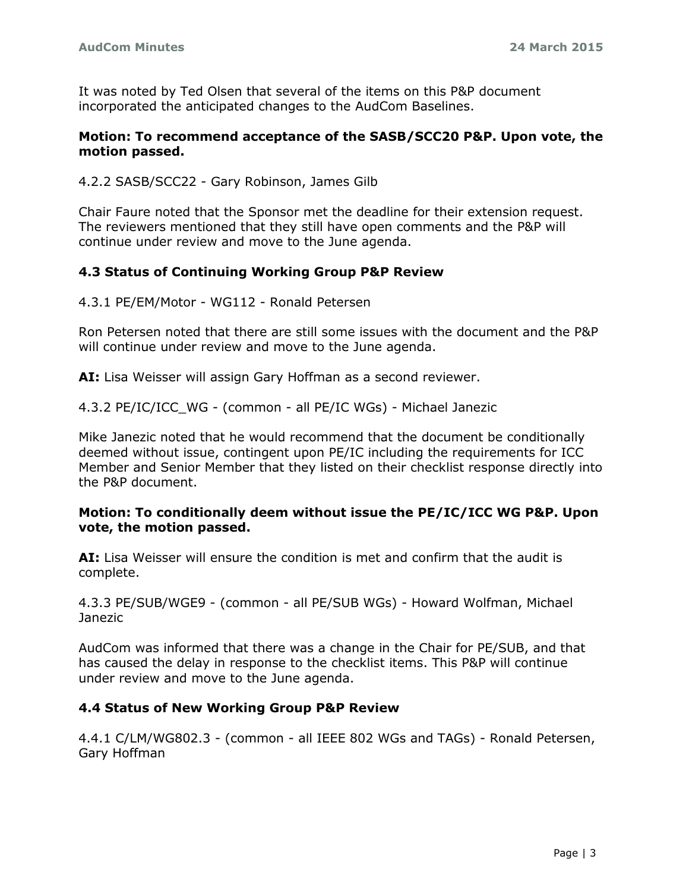It was noted by Ted Olsen that several of the items on this P&P document incorporated the anticipated changes to the AudCom Baselines.

## **Motion: To recommend acceptance of the SASB/SCC20 P&P. Upon vote, the motion passed.**

4.2.2 SASB/SCC22 - Gary Robinson, James Gilb

Chair Faure noted that the Sponsor met the deadline for their extension request. The reviewers mentioned that they still have open comments and the P&P will continue under review and move to the June agenda.

# **4.3 Status of Continuing Working Group P&P Review**

4.3.1 PE/EM/Motor - WG112 - Ronald Petersen

Ron Petersen noted that there are still some issues with the document and the P&P will continue under review and move to the June agenda.

**AI:** Lisa Weisser will assign Gary Hoffman as a second reviewer.

4.3.2 PE/IC/ICC\_WG - (common - all PE/IC WGs) - Michael Janezic

Mike Janezic noted that he would recommend that the document be conditionally deemed without issue, contingent upon PE/IC including the requirements for ICC Member and Senior Member that they listed on their checklist response directly into the P&P document.

## **Motion: To conditionally deem without issue the PE/IC/ICC WG P&P. Upon vote, the motion passed.**

**AI:** Lisa Weisser will ensure the condition is met and confirm that the audit is complete.

4.3.3 PE/SUB/WGE9 - (common - all PE/SUB WGs) - Howard Wolfman, Michael Janezic

AudCom was informed that there was a change in the Chair for PE/SUB, and that has caused the delay in response to the checklist items. This P&P will continue under review and move to the June agenda.

# **4.4 Status of New Working Group P&P Review**

4.4.1 C/LM/WG802.3 - (common - all IEEE 802 WGs and TAGs) - Ronald Petersen, Gary Hoffman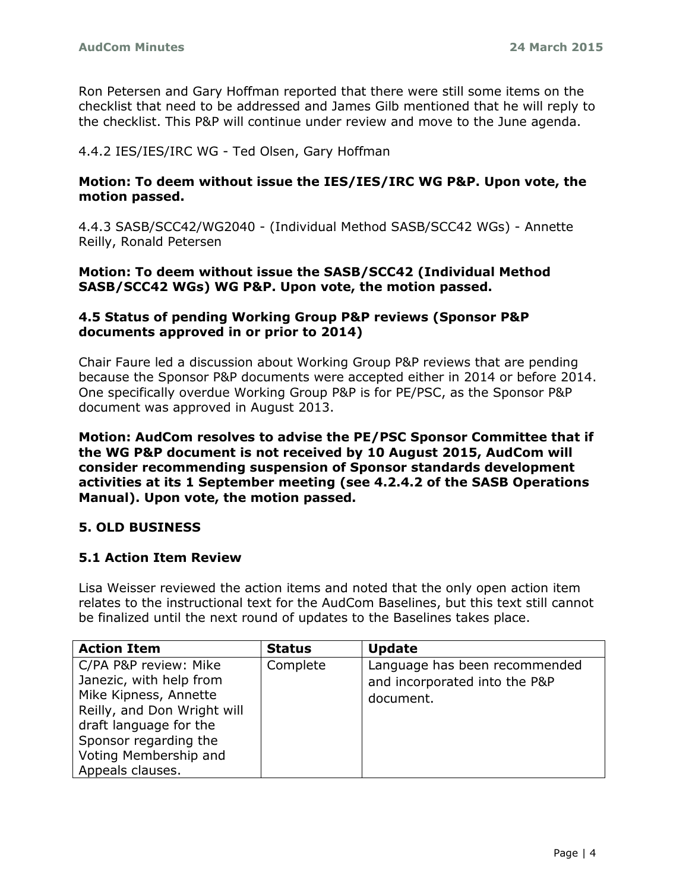Ron Petersen and Gary Hoffman reported that there were still some items on the checklist that need to be addressed and James Gilb mentioned that he will reply to the checklist. This P&P will continue under review and move to the June agenda.

4.4.2 IES/IES/IRC WG - Ted Olsen, Gary Hoffman

## **Motion: To deem without issue the IES/IES/IRC WG P&P. Upon vote, the motion passed.**

4.4.3 SASB/SCC42/WG2040 - (Individual Method SASB/SCC42 WGs) - Annette Reilly, Ronald Petersen

## **Motion: To deem without issue the SASB/SCC42 (Individual Method SASB/SCC42 WGs) WG P&P. Upon vote, the motion passed.**

## **4.5 Status of pending Working Group P&P reviews (Sponsor P&P documents approved in or prior to 2014)**

Chair Faure led a discussion about Working Group P&P reviews that are pending because the Sponsor P&P documents were accepted either in 2014 or before 2014. One specifically overdue Working Group P&P is for PE/PSC, as the Sponsor P&P document was approved in August 2013.

**Motion: AudCom resolves to advise the PE/PSC Sponsor Committee that if the WG P&P document is not received by 10 August 2015, AudCom will consider recommending suspension of Sponsor standards development activities at its 1 September meeting (see 4.2.4.2 of the SASB Operations Manual). Upon vote, the motion passed.**

# **5. OLD BUSINESS**

## **5.1 Action Item Review**

Lisa Weisser reviewed the action items and noted that the only open action item relates to the instructional text for the AudCom Baselines, but this text still cannot be finalized until the next round of updates to the Baselines takes place.

| <b>Action Item</b>          | <b>Status</b> | <b>Update</b>                 |
|-----------------------------|---------------|-------------------------------|
| C/PA P&P review: Mike       | Complete      | Language has been recommended |
| Janezic, with help from     |               | and incorporated into the P&P |
| Mike Kipness, Annette       |               | document.                     |
| Reilly, and Don Wright will |               |                               |
| draft language for the      |               |                               |
| Sponsor regarding the       |               |                               |
| Voting Membership and       |               |                               |
| Appeals clauses.            |               |                               |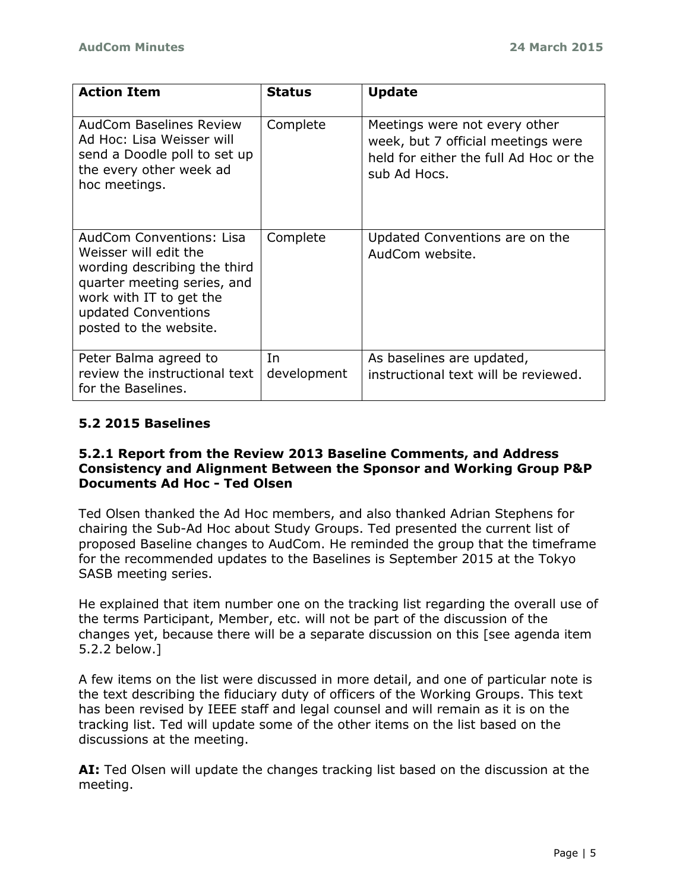| <b>Action Item</b>                                                                                                                                                                                  | <b>Status</b>     | <b>Update</b>                                                                                                                 |
|-----------------------------------------------------------------------------------------------------------------------------------------------------------------------------------------------------|-------------------|-------------------------------------------------------------------------------------------------------------------------------|
| <b>AudCom Baselines Review</b><br>Ad Hoc: Lisa Weisser will<br>send a Doodle poll to set up<br>the every other week ad<br>hoc meetings.                                                             | Complete          | Meetings were not every other<br>week, but 7 official meetings were<br>held for either the full Ad Hoc or the<br>sub Ad Hocs. |
| <b>AudCom Conventions: Lisa</b><br>Weisser will edit the<br>wording describing the third<br>quarter meeting series, and<br>work with IT to get the<br>updated Conventions<br>posted to the website. | Complete          | Updated Conventions are on the<br>AudCom website.                                                                             |
| Peter Balma agreed to<br>review the instructional text<br>for the Baselines.                                                                                                                        | In<br>development | As baselines are updated,<br>instructional text will be reviewed.                                                             |

# **5.2 2015 Baselines**

## **5.2.1 Report from the Review 2013 Baseline Comments, and Address Consistency and Alignment Between the Sponsor and Working Group P&P Documents Ad Hoc - Ted Olsen**

Ted Olsen thanked the Ad Hoc members, and also thanked Adrian Stephens for chairing the Sub-Ad Hoc about Study Groups. Ted presented the current list of proposed Baseline changes to AudCom. He reminded the group that the timeframe for the recommended updates to the Baselines is September 2015 at the Tokyo SASB meeting series.

He explained that item number one on the tracking list regarding the overall use of the terms Participant, Member, etc. will not be part of the discussion of the changes yet, because there will be a separate discussion on this [see agenda item 5.2.2 below.]

A few items on the list were discussed in more detail, and one of particular note is the text describing the fiduciary duty of officers of the Working Groups. This text has been revised by IEEE staff and legal counsel and will remain as it is on the tracking list. Ted will update some of the other items on the list based on the discussions at the meeting.

**AI:** Ted Olsen will update the changes tracking list based on the discussion at the meeting.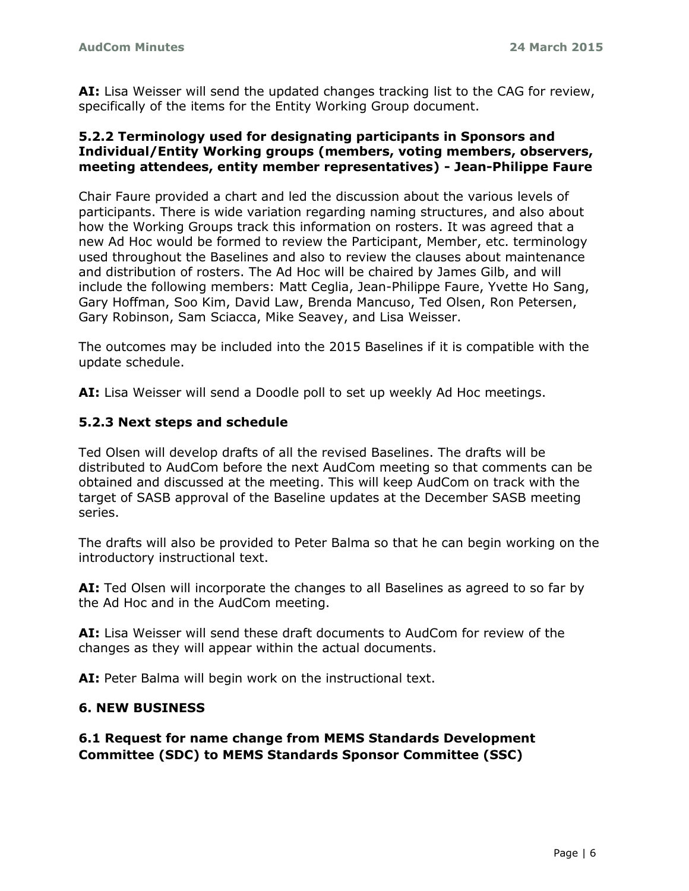**AI:** Lisa Weisser will send the updated changes tracking list to the CAG for review, specifically of the items for the Entity Working Group document.

## **5.2.2 Terminology used for designating participants in Sponsors and Individual/Entity Working groups (members, voting members, observers, meeting attendees, entity member representatives) - Jean-Philippe Faure**

Chair Faure provided a chart and led the discussion about the various levels of participants. There is wide variation regarding naming structures, and also about how the Working Groups track this information on rosters. It was agreed that a new Ad Hoc would be formed to review the Participant, Member, etc. terminology used throughout the Baselines and also to review the clauses about maintenance and distribution of rosters. The Ad Hoc will be chaired by James Gilb, and will include the following members: Matt Ceglia, Jean-Philippe Faure, Yvette Ho Sang, Gary Hoffman, Soo Kim, David Law, Brenda Mancuso, Ted Olsen, Ron Petersen, Gary Robinson, Sam Sciacca, Mike Seavey, and Lisa Weisser.

The outcomes may be included into the 2015 Baselines if it is compatible with the update schedule.

**AI:** Lisa Weisser will send a Doodle poll to set up weekly Ad Hoc meetings.

## **5.2.3 Next steps and schedule**

Ted Olsen will develop drafts of all the revised Baselines. The drafts will be distributed to AudCom before the next AudCom meeting so that comments can be obtained and discussed at the meeting. This will keep AudCom on track with the target of SASB approval of the Baseline updates at the December SASB meeting series.

The drafts will also be provided to Peter Balma so that he can begin working on the introductory instructional text.

**AI:** Ted Olsen will incorporate the changes to all Baselines as agreed to so far by the Ad Hoc and in the AudCom meeting.

**AI:** Lisa Weisser will send these draft documents to AudCom for review of the changes as they will appear within the actual documents.

AI: Peter Balma will begin work on the instructional text.

# **6. NEW BUSINESS**

# **6.1 Request for name change from MEMS Standards Development Committee (SDC) to MEMS Standards Sponsor Committee (SSC)**